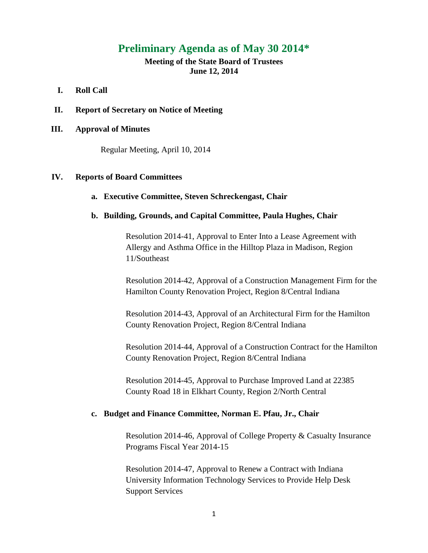# **Preliminary Agenda as of May 30 2014\***

# **Meeting of the State Board of Trustees June 12, 2014**

## **I. Roll Call**

**II. Report of Secretary on Notice of Meeting**

## **III. Approval of Minutes**

Regular Meeting, April 10, 2014

## **IV. Reports of Board Committees**

## **a. Executive Committee, Steven Schreckengast, Chair**

### **b. Building, Grounds, and Capital Committee, Paula Hughes, Chair**

Resolution 2014-41, Approval to Enter Into a Lease Agreement with Allergy and Asthma Office in the Hilltop Plaza in Madison, Region 11/Southeast

Resolution 2014-42, Approval of a Construction Management Firm for the Hamilton County Renovation Project, Region 8/Central Indiana

Resolution 2014-43, Approval of an Architectural Firm for the Hamilton County Renovation Project, Region 8/Central Indiana

Resolution 2014-44, Approval of a Construction Contract for the Hamilton County Renovation Project, Region 8/Central Indiana

Resolution 2014-45, Approval to Purchase Improved Land at 22385 County Road 18 in Elkhart County, Region 2/North Central

#### **c. Budget and Finance Committee, Norman E. Pfau, Jr., Chair**

Resolution 2014-46, Approval of College Property & Casualty Insurance Programs Fiscal Year 2014-15

Resolution 2014-47, Approval to Renew a Contract with Indiana University Information Technology Services to Provide Help Desk Support Services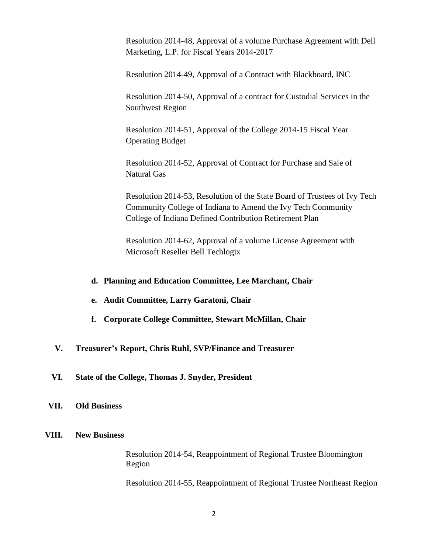Resolution 2014-48, Approval of a volume Purchase Agreement with Dell Marketing, L.P. for Fiscal Years 2014-2017

Resolution 2014-49, Approval of a Contract with Blackboard, INC

Resolution 2014-50, Approval of a contract for Custodial Services in the Southwest Region

Resolution 2014-51, Approval of the College 2014-15 Fiscal Year Operating Budget

Resolution 2014-52, Approval of Contract for Purchase and Sale of Natural Gas

Resolution 2014-53, Resolution of the State Board of Trustees of Ivy Tech Community College of Indiana to Amend the Ivy Tech Community College of Indiana Defined Contribution Retirement Plan

Resolution 2014-62, Approval of a volume License Agreement with Microsoft Reseller Bell Techlogix

## **d. Planning and Education Committee, Lee Marchant, Chair**

- **e. Audit Committee, Larry Garatoni, Chair**
- **f. Corporate College Committee, Stewart McMillan, Chair**
- **V. Treasurer's Report, Chris Ruhl, SVP/Finance and Treasurer**

## **VI. State of the College, Thomas J. Snyder, President**

#### **VII. Old Business**

# **VIII. New Business**

Resolution 2014-54, Reappointment of Regional Trustee Bloomington Region

Resolution 2014-55, Reappointment of Regional Trustee Northeast Region